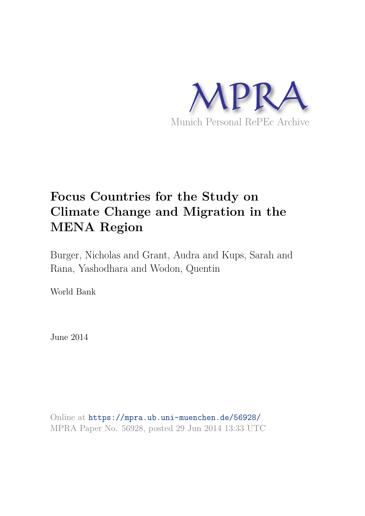

# **Focus Countries for the Study on Climate Change and Migration in the MENA Region**

Burger, Nicholas and Grant, Audra and Kups, Sarah and Rana, Yashodhara and Wodon, Quentin

World Bank

June 2014

Online at https://mpra.ub.uni-muenchen.de/56928/ MPRA Paper No. 56928, posted 29 Jun 2014 13:33 UTC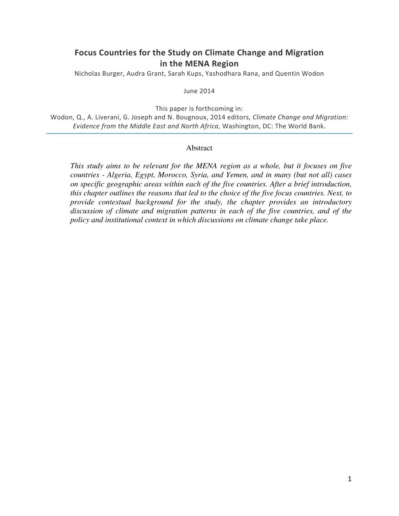# **Focus Countries for the Study on Climate Change and Migration in the MENA Region**

Nicholas Burger, Audra Grant, Sarah Kups, Yashodhara Rana, and Quentin Wodon

June 2014

This paper is forthcoming in:

Wodon, Q., A. Liverani, G. Joseph and N. Bougnoux, 2014 editors, *Climate Change and Migration: Evidence from the Middle East and North Africa*, Washington, DC: The World Bank.

#### **Abstract**

*This study aims to be relevant for the MENA region as a whole, but it focuses on five countries - Algeria, Egypt, Morocco, Syria, and Yemen, and in many (but not all) cases on specific geographic areas within each of the five countries. After a brief introduction, this chapter outlines the reasons that led to the choice of the five focus countries. Next, to provide contextual background for the study, the chapter provides an introductory discussion of climate and migration patterns in each of the five countries, and of the policy and institutional context in which discussions on climate change take place.*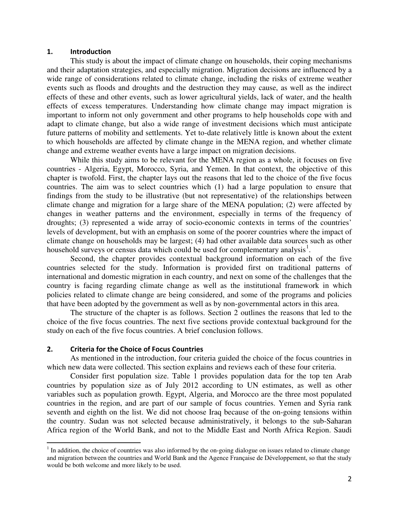#### **1. Introduction**

This study is about the impact of climate change on households, their coping mechanisms and their adaptation strategies, and especially migration. Migration decisions are influenced by a wide range of considerations related to climate change, including the risks of extreme weather events such as floods and droughts and the destruction they may cause, as well as the indirect effects of these and other events, such as lower agricultural yields, lack of water, and the health effects of excess temperatures. Understanding how climate change may impact migration is important to inform not only government and other programs to help households cope with and adapt to climate change, but also a wide range of investment decisions which must anticipate future patterns of mobility and settlements. Yet to-date relatively little is known about the extent to which households are affected by climate change in the MENA region, and whether climate change and extreme weather events have a large impact on migration decisions.

While this study aims to be relevant for the MENA region as a whole, it focuses on five countries - Algeria, Egypt, Morocco, Syria, and Yemen. In that context, the objective of this chapter is twofold. First, the chapter lays out the reasons that led to the choice of the five focus countries. The aim was to select countries which (1) had a large population to ensure that findings from the study to be illustrative (but not representative) of the relationships between climate change and migration for a large share of the MENA population; (2) were affected by changes in weather patterns and the environment, especially in terms of the frequency of droughts; (3) represented a wide array of socio-economic contexts in terms of the countries' levels of development, but with an emphasis on some of the poorer countries where the impact of climate change on households may be largest; (4) had other available data sources such as other household surveys or census data which could be used for complementary analysis<sup>[1](#page-2-0)</sup>.

Second, the chapter provides contextual background information on each of the five countries selected for the study. Information is provided first on traditional patterns of international and domestic migration in each country, and next on some of the challenges that the country is facing regarding climate change as well as the institutional framework in which policies related to climate change are being considered, and some of the programs and policies that have been adopted by the government as well as by non-governmental actors in this area.

The structure of the chapter is as follows. Section 2 outlines the reasons that led to the choice of the five focus countries. The next five sections provide contextual background for the study on each of the five focus countries. A brief conclusion follows.

### **2. Criteria for the Choice of Focus Countries**

.

As mentioned in the introduction, four criteria guided the choice of the focus countries in which new data were collected. This section explains and reviews each of these four criteria.

Consider first population size. Table 1 provides population data for the top ten Arab countries by population size as of July 2012 according to UN estimates, as well as other variables such as population growth. Egypt, Algeria, and Morocco are the three most populated countries in the region, and are part of our sample of focus countries. Yemen and Syria rank seventh and eighth on the list. We did not choose Iraq because of the on-going tensions within the country. Sudan was not selected because administratively, it belongs to the sub-Saharan Africa region of the World Bank, and not to the Middle East and North Africa Region. Saudi

<span id="page-2-0"></span> $<sup>1</sup>$  In addition, the choice of countries was also informed by the on-going dialogue on issues related to climate change</sup> and migration between the countries and World Bank and the Agence Française de Développement, so that the study would be both welcome and more likely to be used.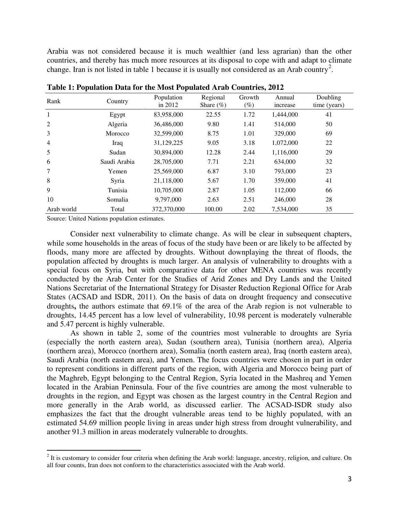Arabia was not considered because it is much wealthier (and less agrarian) than the other countries, and thereby has much more resources at its disposal to cope with and adapt to climate change. Iran is not listed in table 1 because it is usually not considered as an Arab country<sup>[2](#page-3-0)</sup>.

| -<br>Rank      | Country      | Population<br>in 2012 | Regional<br>Share $(\% )$ | Growth<br>$(\%)$ | Annual<br>increase | Doubling<br>time (years) |
|----------------|--------------|-----------------------|---------------------------|------------------|--------------------|--------------------------|
| 1              | Egypt        | 83,958,000            | 22.55                     | 1.72             | 1,444,000          | 41                       |
| 2              | Algeria      | 36,486,000            | 9.80                      | 1.41             | 514,000            | 50                       |
| 3              | Morocco      | 32,599,000            | 8.75                      | 1.01             | 329,000            | 69                       |
| $\overline{4}$ | Iraq         | 31,129,225            | 9.05                      | 3.18             | 1,072,000          | 22                       |
| 5              | Sudan        | 30,894,000            | 12.28                     | 2.44             | 1,116,000          | 29                       |
| 6              | Saudi Arabia | 28,705,000            | 7.71                      | 2.21             | 634,000            | 32                       |
| 7              | Yemen        | 25,569,000            | 6.87                      | 3.10             | 793,000            | 23                       |
| 8              | Syria        | 21,118,000            | 5.67                      | 1.70             | 359,000            | 41                       |
| 9              | Tunisia      | 10,705,000            | 2.87                      | 1.05             | 112,000            | 66                       |
| 10             | Somalia      | 9,797,000             | 2.63                      | 2.51             | 246,000            | 28                       |
| Arab world     | Total        | 372,370,000           | 100.00                    | 2.02             | 7,534,000          | 35                       |

**Table 1: Population Data for the Most Populated Arab Countries, 2012** 

Source: United Nations population estimates.

.

Consider next vulnerability to climate change. As will be clear in subsequent chapters, while some households in the areas of focus of the study have been or are likely to be affected by floods, many more are affected by droughts. Without downplaying the threat of floods, the population affected by droughts is much larger. An analysis of vulnerability to droughts with a special focus on Syria, but with comparative data for other MENA countries was recently conducted by the Arab Center for the Studies of Arid Zones and Dry Lands and the United Nations Secretariat of the International Strategy for Disaster Reduction Regional Office for Arab States (ACSAD and ISDR, 2011). On the basis of data on drought frequency and consecutive droughts**,** the authors estimate that 69.1% of the area of the Arab region is not vulnerable to droughts, 14.45 percent has a low level of vulnerability, 10.98 percent is moderately vulnerable and 5.47 percent is highly vulnerable.

As shown in table 2, some of the countries most vulnerable to droughts are Syria (especially the north eastern area), Sudan (southern area), Tunisia (northern area), Algeria (northern area), Morocco (northern area), Somalia (north eastern area), Iraq (north eastern area), Saudi Arabia (north eastern area), and Yemen. The focus countries were chosen in part in order to represent conditions in different parts of the region, with Algeria and Morocco being part of the Maghreb, Egypt belonging to the Central Region, Syria located in the Mashreq and Yemen located in the Arabian Peninsula. Four of the five countries are among the most vulnerable to droughts in the region, and Egypt was chosen as the largest country in the Central Region and more generally in the Arab world, as discussed earlier. The ACSAD-ISDR study also emphasizes the fact that the drought vulnerable areas tend to be highly populated, with an estimated 54.69 million people living in areas under high stress from drought vulnerability, and another 91.3 million in areas moderately vulnerable to droughts.

<span id="page-3-0"></span> $2$  It is customary to consider four criteria when defining the Arab world: language, ancestry, religion, and culture. On all four counts, Iran does not conform to the characteristics associated with the Arab world.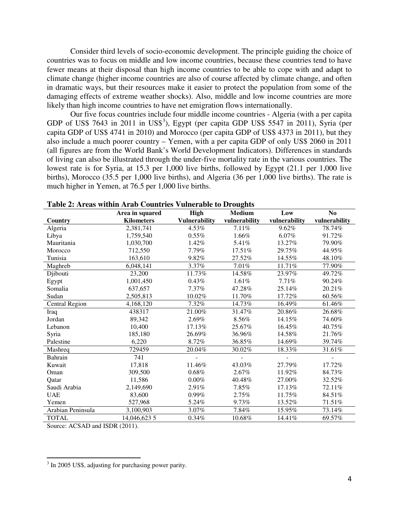Consider third levels of socio-economic development. The principle guiding the choice of countries was to focus on middle and low income countries, because these countries tend to have fewer means at their disposal than high income countries to be able to cope with and adapt to climate change (higher income countries are also of course affected by climate change, and often in dramatic ways, but their resources make it easier to protect the population from some of the damaging effects of extreme weather shocks). Also, middle and low income countries are more likely than high income countries to have net emigration flows internationally.

Our five focus countries include four middle income countries - Algeria (with a per capita GDP of US\$ 764[3](#page-4-0) in 2011 in US\$<sup>3</sup>), Egypt (per capita GDP US\$ 5547 in 2011), Syria (per capita GDP of US\$ 4741 in 2010) and Morocco (per capita GDP of US\$ 4373 in 2011), but they also include a much poorer country – Yemen, with a per capita GDP of only US\$ 2060 in 2011 (all figures are from the World Bank's World Development Indicators). Differences in standards of living can also be illustrated through the under-five mortality rate in the various countries. The lowest rate is for Syria, at 15.3 per 1,000 live births, followed by Egypt (21.1 per 1,000 live births), Morocco (35.5 per 1,000 live births), and Algeria (36 per 1,000 live births). The rate is much higher in Yemen, at 76.5 per 1,000 live births.

|                       | Area in squared   | <b>High</b>          | <b>Medium</b> | Low           | N <sub>0</sub> |
|-----------------------|-------------------|----------------------|---------------|---------------|----------------|
| Country               | <b>Kilometers</b> | <b>Vulnerability</b> | vulnerability | vulnerability | vulnerability  |
| Algeria               | 2,381,741         | 4.53%                | 7.11%         | 9.62%         | 78.74%         |
| Libya                 | 1.759.540         | 0.55%                | 1.66%         | 6.07%         | 91.72%         |
| Mauritania            | 1,030,700         | 1.42%                | 5.41%         | 13.27%        | 79.90%         |
| Morocco               | 712,550           | 7.79%                | 17.51%        | 29.75%        | 44.95%         |
| Tunisia               | 163,610           | 9.82%                | 27.52%        | 14.55%        | 48.10%         |
| Maghreb               | 6,048,141         | 3.37%                | 7.01%         | 11.71%        | 77.90%         |
| Djibouti              | 23,200            | 11.73%               | 14.58%        | 23.97%        | 49.72%         |
| Egypt                 | 1,001,450         | 0.43%                | 1.61%         | 7.71%         | 90.24%         |
| Somalia               | 637,657           | 7.37%                | 47.28%        | 25.14%        | 20.21%         |
| Sudan                 | 2,505,813         | 10.02%               | 11.70%        | 17.72%        | 60.56%         |
| <b>Central Region</b> | 4,168,120         | 7.32%                | 14.73%        | 16.49%        | 61.46%         |
| Iraq                  | 438317            | 21.00%               | 31.47%        | 20.86%        | 26.68%         |
| Jordan                | 89,342            | 2.69%                | 8.56%         | 14.15%        | 74.60%         |
| Lebanon               | 10,400            | 17.13%               | 25.67%        | 16.45%        | 40.75%         |
| Syria                 | 185,180           | 26.69%               | 36.96%        | 14.58%        | 21.76%         |
| Palestine             | 6,220             | 8.72%                | 36.85%        | 14.69%        | 39.74%         |
| Mashreq               | 729459            | 20.04%               | 30.02%        | 18.33%        | 31.61%         |
| Bahrain               | 741               |                      |               |               |                |
| Kuwait                | 17,818            | 11.46%               | 43.03%        | 27.79%        | 17.72%         |
| Oman                  | 309,500           | $0.68\%$             | $2.67\%$      | 11.92%        | 84.73%         |
| Oatar                 | 11,586            | 0.00%                | 40.48%        | 27.00%        | 32.52%         |
| Saudi Arabia          | 2,149,690         | 2.91%                | 7.85%         | 17.13%        | 72.11%         |
| <b>UAE</b>            | 83,600            | 0.99%                | 2.75%         | 11.75%        | 84.51%         |
| Yemen                 | 527,968           | 5.24%                | 9.73%         | 13.52%        | 71.51%         |
| Arabian Peninsula     | 3,100,903         | 3.07%                | 7.84%         | 15.95%        | 73.14%         |
| <b>TOTAL</b>          | 14,046,623 5      | $0.34\%$             | 10.68%        | 14.41%        | 69.57%         |

Source: ACSAD and ISDR (2011).

 $\overline{a}$ 

<span id="page-4-0"></span><sup>&</sup>lt;sup>3</sup> In 2005 US\$, adjusting for purchasing power parity.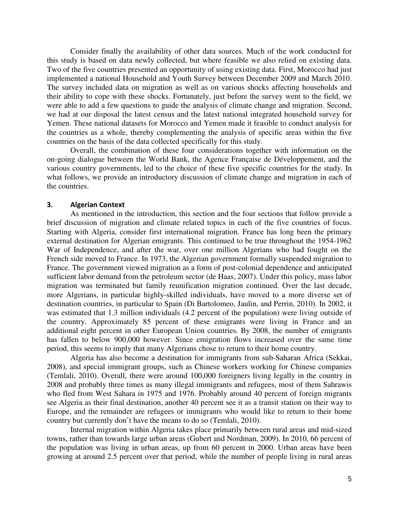Consider finally the availability of other data sources. Much of the work conducted for this study is based on data newly collected, but where feasible we also relied on existing data. Two of the five countries presented an opportunity of using existing data. First, Morocco had just implemented a national Household and Youth Survey between December 2009 and March 2010. The survey included data on migration as well as on various shocks affecting households and their ability to cope with these shocks. Fortunately, just before the survey went to the field, we were able to add a few questions to guide the analysis of climate change and migration. Second, we had at our disposal the latest census and the latest national integrated household survey for Yemen. These national datasets for Morocco and Yemen made it feasible to conduct analysis for the countries as a whole, thereby complementing the analysis of specific areas within the five countries on the basis of the data collected specifically for this study.

Overall, the combination of these four considerations together with information on the on-going dialogue between the World Bank, the Agence Française de Développement, and the various country governments, led to the choice of these five specific countries for the study. In what follows, we provide an introductory discussion of climate change and migration in each of the countries.

#### **3. Algerian Context**

As mentioned in the introduction, this section and the four sections that follow provide a brief discussion of migration and climate related topics in each of the five countries of focus. Starting with Algeria, consider first international migration. France has long been the primary external destination for Algerian emigrants. This continued to be true throughout the 1954-1962 War of Independence, and after the war, over one million Algerians who had fought on the French side moved to France. In 1973, the Algerian government formally suspended migration to France. The government viewed migration as a form of post-colonial dependence and anticipated sufficient labor demand from the petroleum sector (de Haas, 2007). Under this policy, mass labor migration was terminated but family reunification migration continued. Over the last decade, more Algerians, in particular highly-skilled individuals, have moved to a more diverse set of destination countries, in particular to Spain (Di Bartolomeo, Jaulin, and Perrin, 2010). In 2002, it was estimated that 1.3 million individuals (4.2 percent of the population) were living outside of the country. Approximately 85 percent of these emigrants were living in France and an additional eight percent in other European Union countries. By 2008, the number of emigrants has fallen to below 900,000 however. Since emigration flows increased over the same time period, this seems to imply that many Algerians chose to return to their home country.

Algeria has also become a destination for immigrants from sub-Saharan Africa (Sekkai, 2008), and special immigrant groups, such as Chinese workers working for Chinese companies (Temlali, 2010). Overall, there were around 100,000 foreigners living legally in the country in 2008 and probably three times as many illegal immigrants and refugees, most of them Sahrawis who fled from West Sahara in 1975 and 1976. Probably around 40 percent of foreign migrants see Algeria as their final destination, another 40 percent see it as a transit station on their way to Europe, and the remainder are refugees or immigrants who would like to return to their home country but currently don't have the means to do so (Temlali, 2010).

Internal migration within Algeria takes place primarily between rural areas and mid-sized towns, rather than towards large urban areas (Gubert and Nordman, 2009). In 2010, 66 percent of the population was living in urban areas, up from 60 percent in 2000. Urban areas have been growing at around 2.5 percent over that period, while the number of people living in rural areas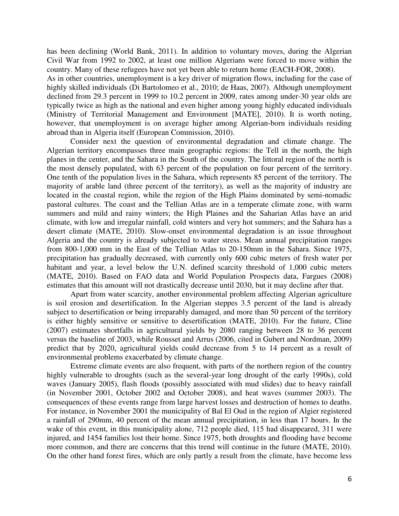has been declining (World Bank, 2011). In addition to voluntary moves, during the Algerian Civil War from 1992 to 2002, at least one million Algerians were forced to move within the country. Many of these refugees have not yet been able to return home (EACH-FOR, 2008).

As in other countries, unemployment is a key driver of migration flows, including for the case of highly skilled individuals (Di Bartolomeo et al., 2010; de Haas, 2007). Although unemployment declined from 29.3 percent in 1999 to 10.2 percent in 2009, rates among under-30 year olds are typically twice as high as the national and even higher among young highly educated individuals (Ministry of Territorial Management and Environment [MATE], 2010). It is worth noting, however, that unemployment is on average higher among Algerian-born individuals residing abroad than in Algeria itself (European Commission, 2010).

Consider next the question of environmental degradation and climate change. The Algerian territory encompasses three main geographic regions: the Tell in the north, the high planes in the center, and the Sahara in the South of the country. The littoral region of the north is the most densely populated, with 63 percent of the population on four percent of the territory. One tenth of the population lives in the Sahara, which represents 85 percent of the territory. The majority of arable land (three percent of the territory), as well as the majority of industry are located in the coastal region, while the region of the High Plains dominated by semi-nomadic pastoral cultures. The coast and the Tellian Atlas are in a temperate climate zone, with warm summers and mild and rainy winters; the High Plaines and the Saharian Atlas have an arid climate, with low and irregular rainfall, cold winters and very hot summers; and the Sahara has a desert climate (MATE, 2010). Slow-onset environmental degradation is an issue throughout Algeria and the country is already subjected to water stress. Mean annual precipitation ranges from 800-1,000 mm in the East of the Tellian Atlas to 20-150mm in the Sahara. Since 1975, precipitation has gradually decreased, with currently only 600 cubic meters of fresh water per habitant and year, a level below the U.N. defined scarcity threshold of 1,000 cubic meters (MATE, 2010). Based on FAO data and World Population Prospects data, Fargues (2008) estimates that this amount will not drastically decrease until 2030, but it may decline after that.

Apart from water scarcity, another environmental problem affecting Algerian agriculture is soil erosion and desertification. In the Algerian steppes 3.5 percent of the land is already subject to desertification or being irreparably damaged, and more than 50 percent of the territory is either highly sensitive or sensitive to desertification (MATE, 2010). For the future, Cline (2007) estimates shortfalls in agricultural yields by 2080 ranging between 28 to 36 percent versus the baseline of 2003, while Rousset and Arrus (2006, cited in Gubert and Nordman, 2009) predict that by 2020, agricultural yields could decrease from 5 to 14 percent as a result of environmental problems exacerbated by climate change.

Extreme climate events are also frequent, with parts of the northern region of the country highly vulnerable to droughts (such as the several-year long drought of the early 1990s), cold waves (January 2005), flash floods (possibly associated with mud slides) due to heavy rainfall (in November 2001, October 2002 and October 2008), and heat waves (summer 2003). The consequences of these events range from large harvest losses and destruction of homes to deaths. For instance, in November 2001 the municipality of Bal El Oud in the region of Algier registered a rainfall of 290mm, 40 percent of the mean annual precipitation, in less than 17 hours. In the wake of this event, in this municipality alone, 712 people died, 115 had disappeared, 311 were injured, and 1454 families lost their home. Since 1975, both droughts and flooding have become more common, and there are concerns that this trend will continue in the future (MATE, 2010). On the other hand forest fires, which are only partly a result from the climate, have become less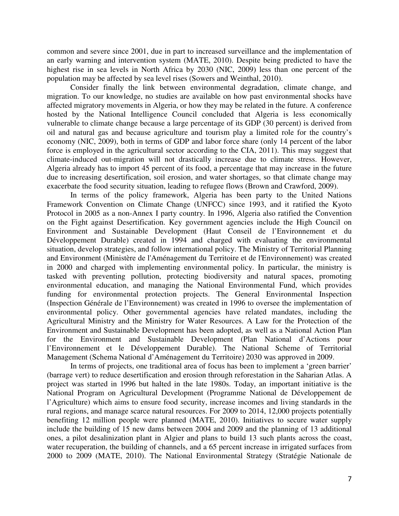common and severe since 2001, due in part to increased surveillance and the implementation of an early warning and intervention system (MATE, 2010). Despite being predicted to have the highest rise in sea levels in North Africa by 2030 (NIC, 2009) less than one percent of the population may be affected by sea level rises (Sowers and Weinthal, 2010).

Consider finally the link between environmental degradation, climate change, and migration. To our knowledge, no studies are available on how past environmental shocks have affected migratory movements in Algeria, or how they may be related in the future. A conference hosted by the National Intelligence Council concluded that Algeria is less economically vulnerable to climate change because a large percentage of its GDP (30 percent) is derived from oil and natural gas and because agriculture and tourism play a limited role for the country's economy (NIC, 2009), both in terms of GDP and labor force share (only 14 percent of the labor force is employed in the agricultural sector according to the CIA, 2011). This may suggest that climate-induced out-migration will not drastically increase due to climate stress. However, Algeria already has to import 45 percent of its food, a percentage that may increase in the future due to increasing desertification, soil erosion, and water shortages, so that climate change may exacerbate the food security situation, leading to refugee flows (Brown and Crawford, 2009).

In terms of the policy framework, Algeria has been party to the United Nations Framework Convention on Climate Change (UNFCC) since 1993, and it ratified the Kyoto Protocol in 2005 as a non-Annex I party country. In 1996, Algeria also ratified the Convention on the Fight against Desertification. Key government agencies include the High Council on Environment and Sustainable Development (Haut Conseil de l'Environnement et du Développement Durable) created in 1994 and charged with evaluating the environmental situation, develop strategies, and follow international policy. The Ministry of Territorial Planning and Environment (Ministère de l'Aménagement du Territoire et de l'Environnement) was created in 2000 and charged with implementing environmental policy. In particular, the ministry is tasked with preventing pollution, protecting biodiversity and natural spaces, promoting environmental education, and managing the National Environmental Fund, which provides funding for environmental protection projects. The General Environmental Inspection (Inspection Générale de l'Environnement) was created in 1996 to oversee the implementation of environmental policy. Other governmental agencies have related mandates, including the Agricultural Ministry and the Ministry for Water Resources. A Law for the Protection of the Environment and Sustainable Development has been adopted, as well as a National Action Plan for the Environment and Sustainable Development (Plan National d'Actions pour l'Environnement et le Développement Durable). The National Scheme of Territorial Management (Schema National d'Aménagement du Territoire) 2030 was approved in 2009.

In terms of projects, one traditional area of focus has been to implement a 'green barrier' (barrage vert) to reduce desertification and erosion through reforestation in the Saharian Atlas. A project was started in 1996 but halted in the late 1980s. Today, an important initiative is the National Program on Agricultural Development (Programme National de Développement de l'Agriculture) which aims to ensure food security, increase incomes and living standards in the rural regions, and manage scarce natural resources. For 2009 to 2014, 12,000 projects potentially benefiting 12 million people were planned (MATE, 2010). Initiatives to secure water supply include the building of 15 new dams between 2004 and 2009 and the planning of 13 additional ones, a pilot desalinization plant in Algier and plans to build 13 such plants across the coast, water recuperation, the building of channels, and a 65 percent increase in irrigated surfaces from 2000 to 2009 (MATE, 2010). The National Environmental Strategy (Stratégie Nationale de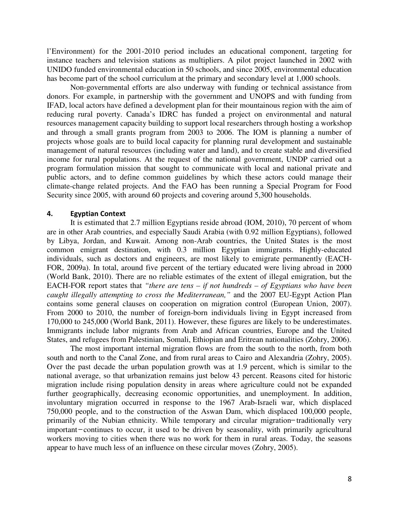l'Environment) for the 2001-2010 period includes an educational component, targeting for instance teachers and television stations as multipliers. A pilot project launched in 2002 with UNIDO funded environmental education in 50 schools, and since 2005, environmental education has become part of the school curriculum at the primary and secondary level at 1,000 schools.

Non-governmental efforts are also underway with funding or technical assistance from donors. For example, in partnership with the government and UNOPS and with funding from IFAD, local actors have defined a development plan for their mountainous region with the aim of reducing rural poverty. Canada's IDRC has funded a project on environmental and natural resources management capacity building to support local researchers through hosting a workshop and through a small grants program from 2003 to 2006. The IOM is planning a number of projects whose goals are to build local capacity for planning rural development and sustainable management of natural resources (including water and land), and to create stable and diversified income for rural populations. At the request of the national government, UNDP carried out a program formulation mission that sought to communicate with local and national private and public actors, and to define common guidelines by which these actors could manage their climate-change related projects. And the FAO has been running a Special Program for Food Security since 2005, with around 60 projects and covering around 5,300 households.

#### **4. Egyptian Context**

It is estimated that 2.7 million Egyptians reside abroad (IOM, 2010), 70 percent of whom are in other Arab countries, and especially Saudi Arabia (with 0.92 million Egyptians), followed by Libya, Jordan, and Kuwait. Among non-Arab countries, the United States is the most common emigrant destination, with 0.3 million Egyptian immigrants. Highly-educated individuals, such as doctors and engineers, are most likely to emigrate permanently (EACH-FOR, 2009a). In total, around five percent of the tertiary educated were living abroad in 2000 (World Bank, 2010). There are no reliable estimates of the extent of illegal emigration, but the EACH-FOR report states that *"there are tens – if not hundreds – of Egyptians who have been caught illegally attempting to cross the Mediterranean,"* and the 2007 EU-Egypt Action Plan contains some general clauses on cooperation on migration control (European Union, 2007). From 2000 to 2010, the number of foreign-born individuals living in Egypt increased from 170,000 to 245,000 (World Bank, 2011). However, these figures are likely to be underestimates. Immigrants include labor migrants from Arab and African countries, Europe and the United States, and refugees from Palestinian, Somali, Ethiopian and Eritrean nationalities (Zohry, 2006).

The most important internal migration flows are from the south to the north, from both south and north to the Canal Zone, and from rural areas to Cairo and Alexandria (Zohry, 2005). Over the past decade the urban population growth was at 1.9 percent, which is similar to the national average, so that urbanization remains just below 43 percent. Reasons cited for historic migration include rising population density in areas where agriculture could not be expanded further geographically, decreasing economic opportunities, and unemployment. In addition, involuntary migration occurred in response to the 1967 Arab-Israeli war, which displaced 750,000 people, and to the construction of the Aswan Dam, which displaced 100,000 people, primarily of the Nubian ethnicity. While temporary and circular migration–traditionally very important – continues to occur, it used to be driven by seasonality, with primarily agricultural workers moving to cities when there was no work for them in rural areas. Today, the seasons appear to have much less of an influence on these circular moves (Zohry, 2005).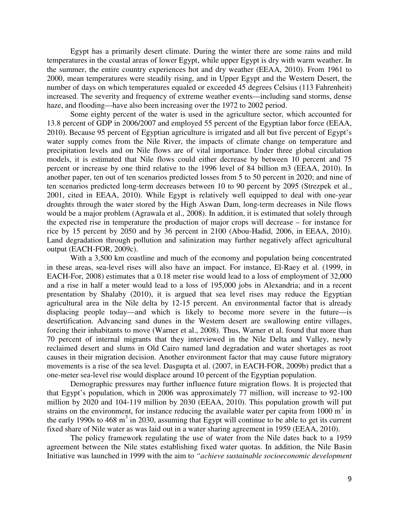Egypt has a primarily desert climate. During the winter there are some rains and mild temperatures in the coastal areas of lower Egypt, while upper Egypt is dry with warm weather. In the summer, the entire country experiences hot and dry weather (EEAA, 2010). From 1961 to 2000, mean temperatures were steadily rising, and in Upper Egypt and the Western Desert, the number of days on which temperatures equaled or exceeded 45 degrees Celsius (113 Fahrenheit) increased. The severity and frequency of extreme weather events—including sand storms, dense haze, and flooding—have also been increasing over the 1972 to 2002 period.

Some eighty percent of the water is used in the agriculture sector, which accounted for 13.8 percent of GDP in 2006/2007 and employed 55 percent of the Egyptian labor force (EEAA, 2010). Because 95 percent of Egyptian agriculture is irrigated and all but five percent of Egypt's water supply comes from the Nile River, the impacts of climate change on temperature and precipitation levels and on Nile flows are of vital importance. Under three global circulation models, it is estimated that Nile flows could either decrease by between 10 percent and 75 percent or increase by one third relative to the 1996 level of 84 billion m3 (EEAA, 2010). In another paper, ten out of ten scenarios predicted losses from 5 to 50 percent in 2020; and nine of ten scenarios predicted long-term decreases between 10 to 90 percent by 2095 (Strezpek et al., 2001, cited in EEAA, 2010). While Egypt is relatively well equipped to deal with one-year droughts through the water stored by the High Aswan Dam, long-term decreases in Nile flows would be a major problem (Agrawala et al., 2008). In addition, it is estimated that solely through the expected rise in temperature the production of major crops will decrease – for instance for rice by 15 percent by 2050 and by 36 percent in 2100 (Abou-Hadid, 2006, in EEAA, 2010). Land degradation through pollution and salinization may further negatively affect agricultural output (EACH-FOR, 2009c).

With a 3,500 km coastline and much of the economy and population being concentrated in these areas, sea-level rises will also have an impact. For instance, El-Raey et al. (1999, in EACH-For, 2008) estimates that a 0.18 meter rise would lead to a loss of employment of 32,000 and a rise in half a meter would lead to a loss of 195,000 jobs in Alexandria; and in a recent presentation by Shalaby (2010), it is argued that sea level rises may reduce the Egyptian agricultural area in the Nile delta by 12-15 percent. An environmental factor that is already displacing people today—and which is likely to become more severe in the future—is desertification. Advancing sand dunes in the Western desert are swallowing entire villages, forcing their inhabitants to move (Warner et al., 2008). Thus, Warner et al. found that more than 70 percent of internal migrants that they interviewed in the Nile Delta and Valley, newly reclaimed desert and slums in Old Cairo named land degradation and water shortages as root causes in their migration decision. Another environment factor that may cause future migratory movements is a rise of the sea level. Dasgupta et al. (2007, in EACH-FOR, 2009b) predict that a one-meter sea-level rise would displace around 10 percent of the Egyptian population.

Demographic pressures may further influence future migration flows. It is projected that that Egypt's population, which in 2006 was approximately 77 million, will increase to 92-100 million by 2020 and 104-119 million by 2030 (EEAA, 2010). This population growth will put strains on the environment, for instance reducing the available water per capita from 1000  $m<sup>3</sup>$  in the early 1990s to 468  $m<sup>3</sup>$  in 2030, assuming that Egypt will continue to be able to get its current fixed share of Nile water as was laid out in a water sharing agreement in 1959 (EEAA, 2010).

The policy framework regulating the use of water from the Nile dates back to a 1959 agreement between the Nile states establishing fixed water quotas. In addition, the Nile Basin Initiative was launched in 1999 with the aim to *"achieve sustainable socioeconomic development*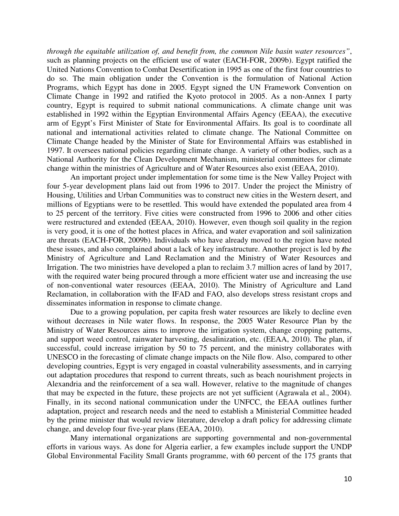*through the equitable utilization of, and benefit from, the common Nile basin water resources"*, such as planning projects on the efficient use of water (EACH-FOR, 2009b). Egypt ratified the United Nations Convention to Combat Desertification in 1995 as one of the first four countries to do so. The main obligation under the Convention is the formulation of National Action Programs, which Egypt has done in 2005. Egypt signed the UN Framework Convention on Climate Change in 1992 and ratified the Kyoto protocol in 2005. As a non-Annex I party country, Egypt is required to submit national communications. A climate change unit was established in 1992 within the Egyptian Environmental Affairs Agency (EEAA), the executive arm of Egypt's First Minister of State for Environmental Affairs. Its goal is to coordinate all national and international activities related to climate change. The National Committee on Climate Change headed by the Minister of State for Environmental Affairs was established in 1997. It oversees national policies regarding climate change. A variety of other bodies, such as a National Authority for the Clean Development Mechanism, ministerial committees for climate change within the ministries of Agriculture and of Water Resources also exist (EEAA, 2010).

An important project under implementation for some time is the New Valley Project with four 5-year development plans laid out from 1996 to 2017. Under the project the Ministry of Housing, Utilities and Urban Communities was to construct new cities in the Western desert, and millions of Egyptians were to be resettled. This would have extended the populated area from 4 to 25 percent of the territory. Five cities were constructed from 1996 to 2006 and other cities were restructured and extended (EEAA, 2010). However, even though soil quality in the region is very good, it is one of the hottest places in Africa, and water evaporation and soil salinization are threats (EACH-FOR, 2009b). Individuals who have already moved to the region have noted these issues, and also complained about a lack of key infrastructure. Another project is led by *t*he Ministry of Agriculture and Land Reclamation and the Ministry of Water Resources and Irrigation. The two ministries have developed a plan to reclaim 3.7 million acres of land by 2017, with the required water being procured through a more efficient water use and increasing the use of non-conventional water resources (EEAA, 2010). The Ministry of Agriculture and Land Reclamation, in collaboration with the IFAD and FAO, also develops stress resistant crops and disseminates information in response to climate change.

Due to a growing population, per capita fresh water resources are likely to decline even without decreases in Nile water flows. In response, the 2005 Water Resource Plan by the Ministry of Water Resources aims to improve the irrigation system, change cropping patterns, and support weed control, rainwater harvesting, desalinization, etc. (EEAA, 2010). The plan, if successful, could increase irrigation by 50 to 75 percent, and the ministry collaborates with UNESCO in the forecasting of climate change impacts on the Nile flow. Also, compared to other developing countries, Egypt is very engaged in coastal vulnerability assessments, and in carrying out adaptation procedures that respond to current threats, such as beach nourishment projects in Alexandria and the reinforcement of a sea wall. However, relative to the magnitude of changes that may be expected in the future, these projects are not yet sufficient (Agrawala et al., 2004). Finally, in its second national communication under the UNFCC, the EEAA outlines further adaptation, project and research needs and the need to establish a Ministerial Committee headed by the prime minister that would review literature, develop a draft policy for addressing climate change, and develop four five-year plans (EEAA, 2010).

Many international organizations are supporting governmental and non-governmental efforts in various ways. As done for Algeria earlier, a few examples include support the UNDP Global Environmental Facility Small Grants programme, with 60 percent of the 175 grants that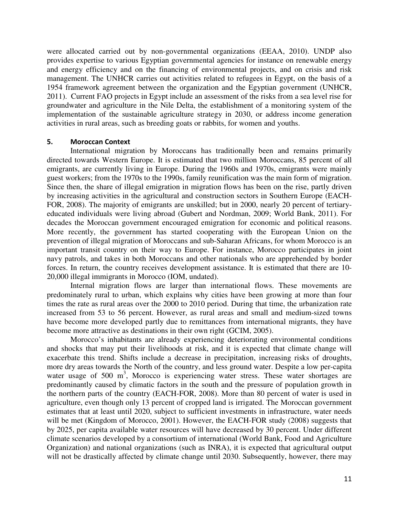were allocated carried out by non-governmental organizations (EEAA, 2010). UNDP also provides expertise to various Egyptian governmental agencies for instance on renewable energy and energy efficiency and on the financing of environmental projects, and on crisis and risk management. The UNHCR carries out activities related to refugees in Egypt, on the basis of a 1954 framework agreement between the organization and the Egyptian government (UNHCR, 2011). Current FAO projects in Egypt include an assessment of the risks from a sea level rise for groundwater and agriculture in the Nile Delta, the establishment of a monitoring system of the implementation of the sustainable agriculture strategy in 2030, or address income generation activities in rural areas, such as breeding goats or rabbits, for women and youths.

#### **5. Moroccan Context**

International migration by Moroccans has traditionally been and remains primarily directed towards Western Europe. It is estimated that two million Moroccans, 85 percent of all emigrants, are currently living in Europe. During the 1960s and 1970s, emigrants were mainly guest workers; from the 1970s to the 1990s, family reunification was the main form of migration. Since then, the share of illegal emigration in migration flows has been on the rise, partly driven by increasing activities in the agricultural and construction sectors in Southern Europe (EACH-FOR, 2008). The majority of emigrants are unskilled; but in 2000, nearly 20 percent of tertiaryeducated individuals were living abroad (Gubert and Nordman, 2009; World Bank, 2011). For decades the Moroccan government encouraged emigration for economic and political reasons. More recently, the government has started cooperating with the European Union on the prevention of illegal migration of Moroccans and sub-Saharan Africans, for whom Morocco is an important transit country on their way to Europe. For instance, Morocco participates in joint navy patrols, and takes in both Moroccans and other nationals who are apprehended by border forces. In return, the country receives development assistance. It is estimated that there are 10- 20,000 illegal immigrants in Morocco (IOM, undated).

Internal migration flows are larger than international flows. These movements are predominately rural to urban, which explains why cities have been growing at more than four times the rate as rural areas over the 2000 to 2010 period. During that time, the urbanization rate increased from 53 to 56 percent. However, as rural areas and small and medium-sized towns have become more developed partly due to remittances from international migrants, they have become more attractive as destinations in their own right (GCIM, 2005).

Morocco's inhabitants are already experiencing deteriorating environmental conditions and shocks that may put their livelihoods at risk, and it is expected that climate change will exacerbate this trend. Shifts include a decrease in precipitation, increasing risks of droughts, more dry areas towards the North of the country, and less ground water. Despite a low per-capita water usage of 500 m<sup>3</sup>, Morocco is experiencing water stress. These water shortages are predominantly caused by climatic factors in the south and the pressure of population growth in the northern parts of the country (EACH-FOR, 2008). More than 80 percent of water is used in agriculture, even though only 13 percent of cropped land is irrigated. The Moroccan government estimates that at least until 2020, subject to sufficient investments in infrastructure, water needs will be met (Kingdom of Morocco, 2001). However, the EACH-FOR study (2008) suggests that by 2025, per capita available water resources will have decreased by 30 percent. Under different climate scenarios developed by a consortium of international (World Bank, Food and Agriculture Organization) and national organizations (such as INRA), it is expected that agricultural output will not be drastically affected by climate change until 2030. Subsequently, however, there may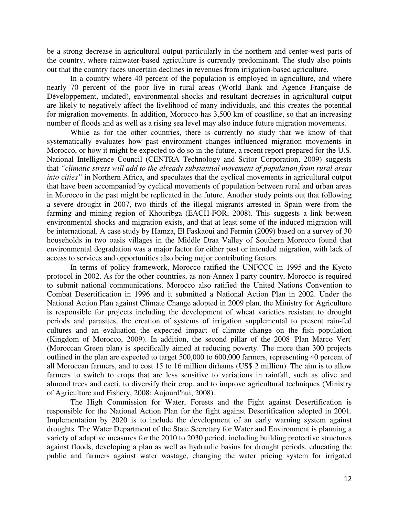be a strong decrease in agricultural output particularly in the northern and center-west parts of the country, where rainwater-based agriculture is currently predominant. The study also points out that the country faces uncertain declines in revenues from irrigation-based agriculture.

In a country where 40 percent of the population is employed in agriculture, and where nearly 70 percent of the poor live in rural areas (World Bank and Agence Française de Développement, undated), environmental shocks and resultant decreases in agricultural output are likely to negatively affect the livelihood of many individuals, and this creates the potential for migration movements. In addition, Morocco has 3,500 km of coastline, so that an increasing number of floods and as well as a rising sea level may also induce future migration movements.

While as for the other countries, there is currently no study that we know of that systematically evaluates how past environment changes influenced migration movements in Morocco, or how it might be expected to do so in the future, a recent report prepared for the U.S. National Intelligence Council (CENTRA Technology and Scitor Corporation, 2009) suggests that *"climatic stress will add to the already substantial movement of population from rural areas into cities"* in Northern Africa, and speculates that the cyclical movements in agricultural output that have been accompanied by cyclical movements of population between rural and urban areas in Morocco in the past might be replicated in the future. Another study points out that following a severe drought in 2007, two thirds of the illegal migrants arrested in Spain were from the farming and mining region of Khouribga (EACH-FOR, 2008). This suggests a link between environmental shocks and migration exists, and that at least some of the induced migration will be international. A case study by Hamza, El Faskaoui and Fermin (2009) based on a survey of 30 households in two oasis villages in the Middle Draa Valley of Southern Morocco found that environmental degradation was a major factor for either past or intended migration, with lack of access to services and opportunities also being major contributing factors.

In terms of policy framework, Morocco ratified the UNFCCC in 1995 and the Kyoto protocol in 2002. As for the other countries, as non-Annex I party country, Morocco is required to submit national communications. Morocco also ratified the United Nations Convention to Combat Desertification in 1996 and it submitted a National Action Plan in 2002. Under the National Action Plan against Climate Change adopted in 2009 plan, the Ministry for Agriculture is responsible for projects including the development of wheat varieties resistant to drought periods and parasites, the creation of systems of irrigation supplemental to present rain-fed cultures and an evaluation the expected impact of climate change on the fish population (Kingdom of Morocco, 2009). In addition, the second pillar of the 2008 'Plan Marco Vert' (Moroccan Green plan) is specifically aimed at reducing poverty. The more than 300 projects outlined in the plan are expected to target 500,000 to 600,000 farmers, representing 40 percent of all Moroccan farmers, and to cost 15 to 16 million dirhams (US\$ 2 million). The aim is to allow farmers to switch to crops that are less sensitive to variations in rainfall, such as olive and almond trees and cacti, to diversify their crop, and to improve agricultural techniques (Ministry of Agriculture and Fishery, 2008; Aujourd'hui, 2008).

The High Commission for Water, Forests and the Fight against Desertification is responsible for the National Action Plan for the fight against Desertification adopted in 2001. Implementation by 2020 is to include the development of an early warning system against droughts. The Water Department of the State Secretary for Water and Environment is planning a variety of adaptive measures for the 2010 to 2030 period, including building protective structures against floods, developing a plan as well as hydraulic basins for drought periods, educating the public and farmers against water wastage, changing the water pricing system for irrigated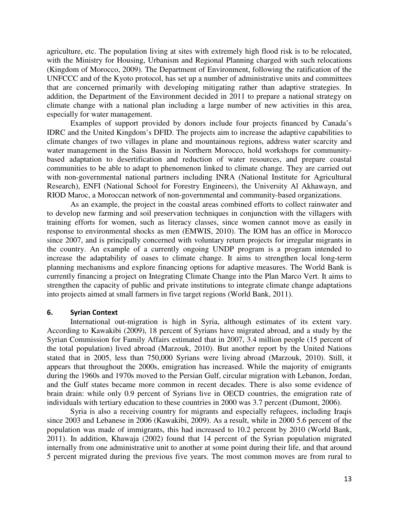agriculture, etc. The population living at sites with extremely high flood risk is to be relocated, with the Ministry for Housing, Urbanism and Regional Planning charged with such relocations (Kingdom of Morocco, 2009). The Department of Environment, following the ratification of the UNFCCC and of the Kyoto protocol, has set up a number of administrative units and committees that are concerned primarily with developing mitigating rather than adaptive strategies. In addition, the Department of the Environment decided in 2011 to prepare a national strategy on climate change with a national plan including a large number of new activities in this area, especially for water management.

Examples of support provided by donors include four projects financed by Canada's IDRC and the United Kingdom's DFID. The projects aim to increase the adaptive capabilities to climate changes of two villages in plane and mountainous regions, address water scarcity and water management in the Saiss Bassin in Northern Morocco, hold workshops for communitybased adaptation to desertification and reduction of water resources, and prepare coastal communities to be able to adapt to phenomenon linked to climate change. They are carried out with non-governmental national partners including INRA (National Institute for Agricultural Research), ENFI (National School for Forestry Engineers), the University Al Akhawayn, and RIOD Maroc, a Moroccan network of non-governmental and community-based organizations.

As an example, the project in the coastal areas combined efforts to collect rainwater and to develop new farming and soil preservation techniques in conjunction with the villagers with training efforts for women, such as literacy classes, since women cannot move as easily in response to environmental shocks as men (EMWIS, 2010). The IOM has an office in Morocco since 2007, and is principally concerned with voluntary return projects for irregular migrants in the country. An example of a currently ongoing UNDP program is a program intended to increase the adaptability of oases to climate change. It aims to strengthen local long-term planning mechanisms and explore financing options for adaptive measures. The World Bank is currently financing a project on Integrating Climate Change into the Plan Marco Vert. It aims to strengthen the capacity of public and private institutions to integrate climate change adaptations into projects aimed at small farmers in five target regions (World Bank, 2011).

#### **6. Syrian Context**

International out-migration is high in Syria, although estimates of its extent vary. According to Kawakibi (2009), 18 percent of Syrians have migrated abroad, and a study by the Syrian Commission for Family Affairs estimated that in 2007, 3.4 million people (15 percent of the total population) lived abroad (Marzouk, 2010). But another report by the United Nations stated that in 2005, less than 750,000 Syrians were living abroad (Marzouk, 2010). Still, it appears that throughout the 2000s, emigration has increased. While the majority of emigrants during the 1960s and 1970s moved to the Persian Gulf, circular migration with Lebanon, Jordan, and the Gulf states became more common in recent decades. There is also some evidence of brain drain: while only 0.9 percent of Syrians live in OECD countries, the emigration rate of individuals with tertiary education to these countries in 2000 was 3.7 percent (Dumont, 2006).

Syria is also a receiving country for migrants and especially refugees, including Iraqis since 2003 and Lebanese in 2006 (Kawakibi, 2009). As a result, while in 2000 5.6 percent of the population was made of immigrants, this had increased to 10.2 percent by 2010 (World Bank, 2011). In addition, Khawaja (2002) found that 14 percent of the Syrian population migrated internally from one administrative unit to another at some point during their life, and that around 5 percent migrated during the previous five years. The most common moves are from rural to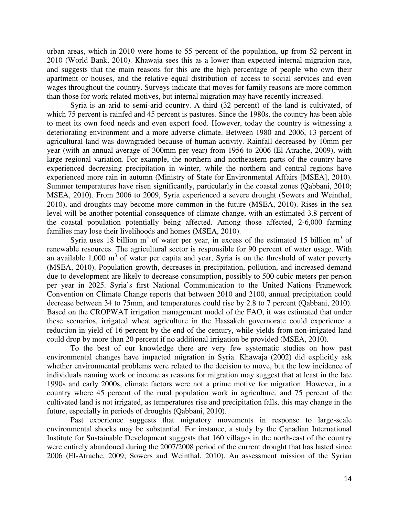urban areas, which in 2010 were home to 55 percent of the population, up from 52 percent in 2010 (World Bank, 2010). Khawaja sees this as a lower than expected internal migration rate, and suggests that the main reasons for this are the high percentage of people who own their apartment or houses, and the relative equal distribution of access to social services and even wages throughout the country. Surveys indicate that moves for family reasons are more common than those for work-related motives, but internal migration may have recently increased.

Syria is an arid to semi-arid country. A third (32 percent) of the land is cultivated, of which 75 percent is rainfed and 45 percent is pastures. Since the 1980s, the country has been able to meet its own food needs and even export food. However, today the country is witnessing a deteriorating environment and a more adverse climate. Between 1980 and 2006, 13 percent of agricultural land was downgraded because of human activity. Rainfall decreased by 10mm per year (with an annual average of 300mm per year) from 1956 to 2006 (El-Atrache, 2009), with large regional variation. For example, the northern and northeastern parts of the country have experienced decreasing precipitation in winter, while the northern and central regions have experienced more rain in autumn (Ministry of State for Environmental Affairs [MSEA], 2010). Summer temperatures have risen significantly, particularly in the coastal zones (Qabbani, 2010; MSEA, 2010). From 2006 to 2009, Syria experienced a severe drought (Sowers and Weinthal, 2010), and droughts may become more common in the future (MSEA, 2010). Rises in the sea level will be another potential consequence of climate change, with an estimated 3.8 percent of the coastal population potentially being affected. Among those affected, 2-6,000 farming families may lose their livelihoods and homes (MSEA, 2010).

Syria uses 18 billion  $m<sup>3</sup>$  of water per year, in excess of the estimated 15 billion  $m<sup>3</sup>$  of renewable resources. The agricultural sector is responsible for 90 percent of water usage. With an available  $1,000 \text{ m}^3$  of water per capita and year, Syria is on the threshold of water poverty (MSEA, 2010). Population growth, decreases in precipitation, pollution, and increased demand due to development are likely to decrease consumption, possibly to 500 cubic meters per person per year in 2025. Syria's first National Communication to the United Nations Framework Convention on Climate Change reports that between 2010 and 2100, annual precipitation could decrease between 34 to 75mm, and temperatures could rise by 2.8 to 7 percent (Qabbani, 2010). Based on the CROPWAT irrigation management model of the FAO, it was estimated that under these scenarios, irrigated wheat agriculture in the Hassakeh governorate could experience a reduction in yield of 16 percent by the end of the century, while yields from non-irrigated land could drop by more than 20 percent if no additional irrigation be provided (MSEA, 2010).

To the best of our knowledge there are very few systematic studies on how past environmental changes have impacted migration in Syria. Khawaja (2002) did explicitly ask whether environmental problems were related to the decision to move, but the low incidence of individuals naming work or income as reasons for migration may suggest that at least in the late 1990s and early 2000s, climate factors were not a prime motive for migration. However, in a country where 45 percent of the rural population work in agriculture, and 75 percent of the cultivated land is not irrigated, as temperatures rise and precipitation falls, this may change in the future, especially in periods of droughts (Qabbani, 2010).

Past experience suggests that migratory movements in response to large-scale environmental shocks may be substantial. For instance, a study by the Canadian International Institute for Sustainable Development suggests that 160 villages in the north-east of the country were entirely abandoned during the 2007/2008 period of the current drought that has lasted since 2006 (El-Atrache, 2009; Sowers and Weinthal, 2010). An assessment mission of the Syrian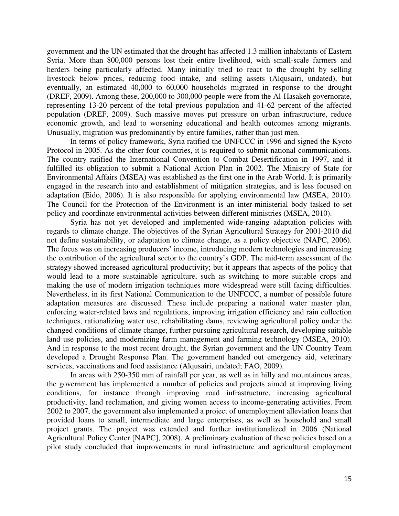government and the UN estimated that the drought has affected 1.3 million inhabitants of Eastern Syria. More than 800,000 persons lost their entire livelihood, with small-scale farmers and herders being particularly affected. Many initially tried to react to the drought by selling livestock below prices, reducing food intake, and selling assets (Alqusairi, undated), but eventually, an estimated 40,000 to 60,000 households migrated in response to the drought (DREF, 2009). Among these, 200,000 to 300,000 people were from the Al-Hasakeh governorate, representing 13-20 percent of the total previous population and 41-62 percent of the affected population (DREF, 2009). Such massive moves put pressure on urban infrastructure, reduce economic growth, and lead to worsening educational and health outcomes among migrants. Unusually, migration was predominantly by entire families, rather than just men.

In terms of policy framework, Syria ratified the UNFCCC in 1996 and signed the Kyoto Protocol in 2005. As the other four countries, it is required to submit national communications. The country ratified the International Convention to Combat Desertification in 1997, and it fulfilled its obligation to submit a National Action Plan in 2002. The Ministry of State for Environmental Affairs (MSEA) was established as the first one in the Arab World. It is primarily engaged in the research into and establishment of mitigation strategies, and is less focused on adaptation (Eido, 2006). It is also responsible for applying environmental law (MSEA, 2010). The Council for the Protection of the Environment is an inter-ministerial body tasked to set policy and coordinate environmental activities between different ministries (MSEA, 2010).

Syria has not yet developed and implemented wide-ranging adaptation policies with regards to climate change. The objectives of the Syrian Agricultural Strategy for 2001-2010 did not define sustainability, or adaptation to climate change, as a policy objective (NAPC, 2006). The focus was on increasing producers' income, introducing modern technologies and increasing the contribution of the agricultural sector to the country's GDP. The mid-term assessment of the strategy showed increased agricultural productivity; but it appears that aspects of the policy that would lead to a more sustainable agriculture, such as switching to more suitable crops and making the use of modern irrigation techniques more widespread were still facing difficulties. Nevertheless, in its first National Communication to the UNFCCC, a number of possible future adaptation measures are discussed. These include preparing a national water master plan, enforcing water-related laws and regulations, improving irrigation efficiency and rain collection techniques, rationalizing water use, rehabilitating dams, reviewing agricultural policy under the changed conditions of climate change, further pursuing agricultural research, developing suitable land use policies, and modernizing farm management and farming technology (MSEA, 2010). And in response to the most recent drought, the Syrian government and the UN Country Team developed a Drought Response Plan. The government handed out emergency aid, veterinary services, vaccinations and food assistance (Alqusairi, undated; FAO, 2009).

In areas with 250-350 mm of rainfall per year, as well as in hilly and mountainous areas, the government has implemented a number of policies and projects aimed at improving living conditions, for instance through improving road infrastructure, increasing agricultural productivity, land reclamation, and giving women access to income-generating activities. From 2002 to 2007, the government also implemented a project of unemployment alleviation loans that provided loans to small, intermediate and large enterprises, as well as household and small project grants. The project was extended and further institutionalized in 2006 (National Agricultural Policy Center [NAPC], 2008). A preliminary evaluation of these policies based on a pilot study concluded that improvements in rural infrastructure and agricultural employment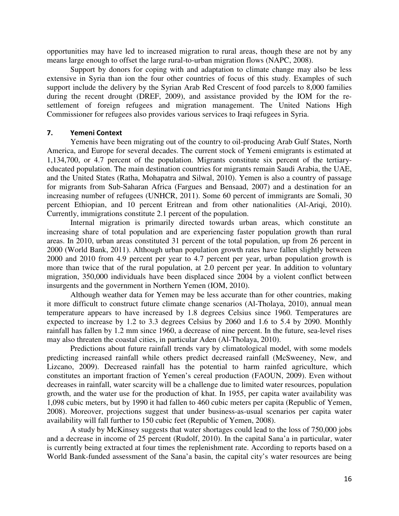opportunities may have led to increased migration to rural areas, though these are not by any means large enough to offset the large rural-to-urban migration flows (NAPC, 2008).

Support by donors for coping with and adaptation to climate change may also be less extensive in Syria than ion the four other countries of focus of this study. Examples of such support include the delivery by the Syrian Arab Red Crescent of food parcels to 8,000 families during the recent drought (DREF, 2009), and assistance provided by the IOM for the resettlement of foreign refugees and migration management. The United Nations High Commissioner for refugees also provides various services to Iraqi refugees in Syria.

#### **7. Yemeni Context**

Yemenis have been migrating out of the country to oil-producing Arab Gulf States, North America, and Europe for several decades. The current stock of Yemeni emigrants is estimated at 1,134,700, or 4.7 percent of the population. Migrants constitute six percent of the tertiaryeducated population. The main destination countries for migrants remain Saudi Arabia, the UAE, and the United States (Ratha, Mohapatra and Silwal, 2010). Yemen is also a country of passage for migrants from Sub-Saharan Africa (Fargues and Bensaad, 2007) and a destination for an increasing number of refugees (UNHCR, 2011). Some 60 percent of immigrants are Somali, 30 percent Ethiopian, and 10 percent Eritrean and from other nationalities (Al-Ariqi, 2010). Currently, immigrations constitute 2.1 percent of the population.

Internal migration is primarily directed towards urban areas, which constitute an increasing share of total population and are experiencing faster population growth than rural areas. In 2010, urban areas constituted 31 percent of the total population, up from 26 percent in 2000 (World Bank, 2011). Although urban population growth rates have fallen slightly between 2000 and 2010 from 4.9 percent per year to 4.7 percent per year, urban population growth is more than twice that of the rural population, at 2.0 percent per year. In addition to voluntary migration, 350,000 individuals have been displaced since 2004 by a violent conflict between insurgents and the government in Northern Yemen (IOM, 2010).

Although weather data for Yemen may be less accurate than for other countries, making it more difficult to construct future climate change scenarios (Al-Tholaya, 2010), annual mean temperature appears to have increased by 1.8 degrees Celsius since 1960. Temperatures are expected to increase by 1.2 to 3.3 degrees Celsius by 2060 and 1.6 to 5.4 by 2090. Monthly rainfall has fallen by 1.2 mm since 1960, a decrease of nine percent. In the future, sea-level rises may also threaten the coastal cities, in particular Aden (Al-Tholaya, 2010).

Predictions about future rainfall trends vary by climatological model, with some models predicting increased rainfall while others predict decreased rainfall (McSweeney, New, and Lizcano, 2009). Decreased rainfall has the potential to harm rainfed agriculture, which constitutes an important fraction of Yemen's cereal production (FAOUN, 2009). Even without decreases in rainfall, water scarcity will be a challenge due to limited water resources, population growth, and the water use for the production of khat. In 1955, per capita water availability was 1,098 cubic meters, but by 1990 it had fallen to 460 cubic meters per capita (Republic of Yemen, 2008). Moreover, projections suggest that under business-as-usual scenarios per capita water availability will fall further to 150 cubic feet (Republic of Yemen, 2008).

A study by McKinsey suggests that water shortages could lead to the loss of 750,000 jobs and a decrease in income of 25 percent (Rudolf, 2010). In the capital Sana'a in particular, water is currently being extracted at four times the replenishment rate. According to reports based on a World Bank-funded assessment of the Sana'a basin, the capital city's water resources are being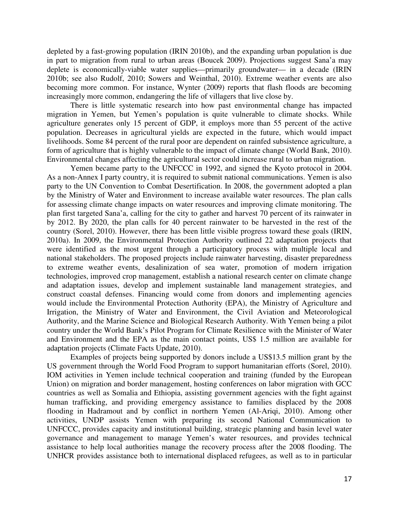depleted by a fast-growing population (IRIN 2010b), and the expanding urban population is due in part to migration from rural to urban areas (Boucek 2009). Projections suggest Sana'a may deplete is economically-viable water supplies—primarily groundwater— in a decade (IRIN 2010b; see also Rudolf, 2010; Sowers and Weinthal, 2010). Extreme weather events are also becoming more common. For instance, Wynter (2009) reports that flash floods are becoming increasingly more common, endangering the life of villagers that live close by.

There is little systematic research into how past environmental change has impacted migration in Yemen, but Yemen's population is quite vulnerable to climate shocks. While agriculture generates only 15 percent of GDP, it employs more than 55 percent of the active population. Decreases in agricultural yields are expected in the future, which would impact livelihoods. Some 84 percent of the rural poor are dependent on rainfed subsistence agriculture, a form of agriculture that is highly vulnerable to the impact of climate change (World Bank, 2010). Environmental changes affecting the agricultural sector could increase rural to urban migration.

Yemen became party to the UNFCCC in 1992, and signed the Kyoto protocol in 2004. As a non-Annex I party country, it is required to submit national communications. Yemen is also party to the UN Convention to Combat Desertification. In 2008, the government adopted a plan by the Ministry of Water and Environment to increase available water resources. The plan calls for assessing climate change impacts on water resources and improving climate monitoring. The plan first targeted Sana'a, calling for the city to gather and harvest 70 percent of its rainwater in by 2012. By 2020, the plan calls for 40 percent rainwater to be harvested in the rest of the country (Sorel, 2010). However, there has been little visible progress toward these goals (IRIN, 2010a). In 2009, the Environmental Protection Authority outlined 22 adaptation projects that were identified as the most urgent through a participatory process with multiple local and national stakeholders. The proposed projects include rainwater harvesting, disaster preparedness to extreme weather events, desalinization of sea water, promotion of modern irrigation technologies, improved crop management, establish a national research center on climate change and adaptation issues, develop and implement sustainable land management strategies, and construct coastal defenses. Financing would come from donors and implementing agencies would include the Environmental Protection Authority (EPA), the Ministry of Agriculture and Irrigation, the Ministry of Water and Environment, the Civil Aviation and Meteorological Authority, and the Marine Science and Biological Research Authority. With Yemen being a pilot country under the World Bank's Pilot Program for Climate Resilience with the Minister of Water and Environment and the EPA as the main contact points, US\$ 1.5 million are available for adaptation projects (Climate Facts Update, 2010).

Examples of projects being supported by donors include a US\$13.5 million grant by the US government through the World Food Program to support humanitarian efforts (Sorel, 2010). IOM activities in Yemen include technical cooperation and training (funded by the European Union) on migration and border management, hosting conferences on labor migration with GCC countries as well as Somalia and Ethiopia, assisting government agencies with the fight against human trafficking, and providing emergency assistance to families displaced by the 2008 flooding in Hadramout and by conflict in northern Yemen (Al-Ariqi, 2010). Among other activities, UNDP assists Yemen with preparing its second National Communication to UNFCCC, provides capacity and institutional building, strategic planning and basin level water governance and management to manage Yemen's water resources, and provides technical assistance to help local authorities manage the recovery process after the 2008 flooding. The UNHCR provides assistance both to international displaced refugees, as well as to in particular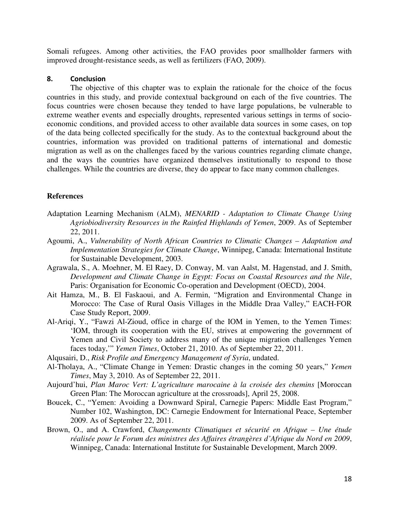Somali refugees. Among other activities, the FAO provides poor smallholder farmers with improved drought-resistance seeds, as well as fertilizers (FAO, 2009).

## **8. Conclusion**

The objective of this chapter was to explain the rationale for the choice of the focus countries in this study, and provide contextual background on each of the five countries. The focus countries were chosen because they tended to have large populations, be vulnerable to extreme weather events and especially droughts, represented various settings in terms of socioeconomic conditions, and provided access to other available data sources in some cases, on top of the data being collected specifically for the study. As to the contextual background about the countries, information was provided on traditional patterns of international and domestic migration as well as on the challenges faced by the various countries regarding climate change, and the ways the countries have organized themselves institutionally to respond to those challenges. While the countries are diverse, they do appear to face many common challenges.

# **References**

- Adaptation Learning Mechanism (ALM), *MENARID Adaptation to Climate Change Using Agriobiodiversity Resources in the Rainfed Highlands of Yemen*, 2009. As of September 22, 2011.
- Agoumi, A., *Vulnerability of North African Countries to Climatic Changes Adaptation and Implementation Strategies for Climate Change*, Winnipeg, Canada: International Institute for Sustainable Development, 2003.
- Agrawala, S., A. Moehner, M. El Raey, D. Conway, M. van Aalst, M. Hagenstad, and J. Smith, *Development and Climate Change in Egypt: Focus on Coastal Resources and the Nile*, Paris: Organisation for Economic Co-operation and Development (OECD), 2004.
- Ait Hamza, M., B. El Faskaoui, and A. Fermin, "Migration and Environmental Change in Morocco: The Case of Rural Oasis Villages in the Middle Draa Valley," EACH-FOR Case Study Report, 2009.
- Al-Ariqi, Y., "Fawzi Al-Zioud, office in charge of the IOM in Yemen, to the Yemen Times: 'IOM, through its cooperation with the EU, strives at empowering the government of Yemen and Civil Society to address many of the unique migration challenges Yemen faces today,'" *Yemen Times*, October 21, 2010. As of September 22, 2011.
- Alqusairi, D., *Risk Profile and Emergency Management of Syria*, undated.
- Al-Tholaya, A., "Climate Change in Yemen: Drastic changes in the coming 50 years," *Yemen Times*, May 3, 2010. As of September 22, 2011.
- Aujourd'hui, *Plan Maroc Vert: L'agriculture marocaine à la croisée des chemins* [Moroccan Green Plan: The Moroccan agriculture at the crossroads], April 25, 2008.
- Boucek, C., "Yemen: Avoiding a Downward Spiral, Carnegie Papers: Middle East Program," Number 102, Washington, DC: Carnegie Endowment for International Peace, September 2009. As of September 22, 2011.
- Brown, O., and A. Crawford, *Changements Climatiques et sécurité en Afrique Une étude réalisée pour le Forum des ministres des Affaires étrangères d'Afrique du Nord en 2009*, Winnipeg, Canada: International Institute for Sustainable Development, March 2009.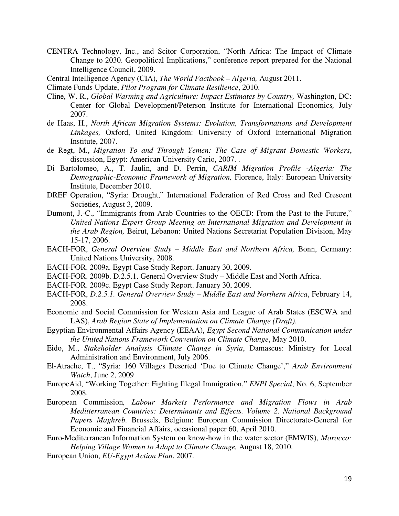- CENTRA Technology, Inc., and Scitor Corporation, "North Africa: The Impact of Climate Change to 2030. Geopolitical Implications," conference report prepared for the National Intelligence Council, 2009.
- Central Intelligence Agency (CIA), *The World Factbook Algeria,* August 2011.
- Climate Funds Update, *Pilot Program for Climate Resilience*, 2010.
- Cline, W. R., *Global Warming and Agriculture: Impact Estimates by Country,* Washington, DC: Center for Global Development/Peterson Institute for International Economics*,* July 2007.
- de Haas, H., *North African Migration Systems: Evolution, Transformations and Development Linkages,* Oxford, United Kingdom: University of Oxford International Migration Institute, 2007.
- de Regt, M., *Migration To and Through Yemen: The Case of Migrant Domestic Workers*, discussion, Egypt: American University Cario, 2007. .
- Di Bartolomeo, A., T. Jaulin, and D. Perrin, *CARIM Migration Profile -Algeria: The Demographic-Economic Framework of Migration,* Florence, Italy: European University Institute, December 2010.
- DREF Operation, "Syria: Drought," International Federation of Red Cross and Red Crescent Societies, August 3, 2009.
- Dumont, J.-C., "Immigrants from Arab Countries to the OECD: From the Past to the Future," *United Nations Expert Group Meeting on International Migration and Development in the Arab Region,* Beirut, Lebanon: United Nations Secretariat Population Division, May 15-17, 2006.
- EACH-FOR, *General Overview Study Middle East and Northern Africa,* Bonn, Germany: United Nations University, 2008.
- EACH-FOR. 2009a. Egypt Case Study Report. January 30, 2009.
- EACH-FOR. 2009b. D.2.5.1. General Overview Study Middle East and North Africa.
- EACH-FOR. 2009c. Egypt Case Study Report. January 30, 2009.
- EACH-FOR, *D.2.5.1. General Overview Study Middle East and Northern Africa*, February 14, 2008.
- Economic and Social Commission for Western Asia and League of Arab States (ESCWA and LAS), *Arab Region State of Implementation on Climate Change (Draft)*.
- Egyptian Environmental Affairs Agency (EEAA), *Egypt Second National Communication under the United Nations Framework Convention on Climate Change*, May 2010.
- Eido, M., *Stakeholder Analysis Climate Change in Syria*, Damascus: Ministry for Local Administration and Environment, July 2006.
- El-Atrache, T., "Syria: 160 Villages Deserted 'Due to Climate Change'," *Arab Environment Watch*, June 2, 2009
- EuropeAid, "Working Together: Fighting Illegal Immigration," *ENPI Special*, No. 6, September 2008.
- European Commission*, Labour Markets Performance and Migration Flows in Arab Meditterranean Countries: Determinants and Effects. Volume 2. National Background Papers Maghreb.* Brussels, Belgium: European Commission Directorate-General for Economic and Financial Affairs, occasional paper 60, April 2010.
- Euro-Mediterranean Information System on know-how in the water sector (EMWIS), *Morocco: Helping Village Women to Adapt to Climate Change,* August 18, 2010.
- European Union, *EU-Egypt Action Plan*, 2007.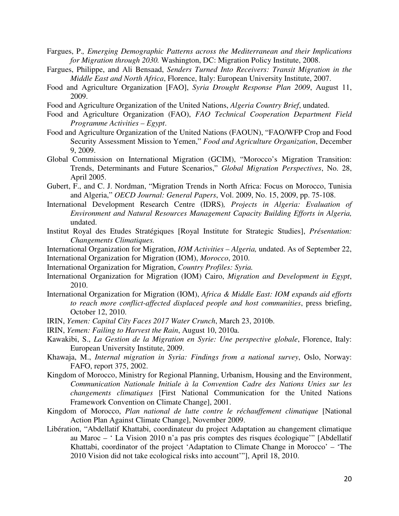- Fargues, P.*, Emerging Demographic Patterns across the Mediterranean and their Implications for Migration through 2030.* Washington, DC: Migration Policy Institute, 2008.
- Fargues, Philippe, and Ali Bensaad, *Senders Turned Into Receivers: Transit Migration in the Middle East and North Africa*, Florence, Italy: European University Institute, 2007.
- Food and Agriculture Organization [FAO], *Syria Drought Response Plan 2009*, August 11, 2009.
- Food and Agriculture Organization of the United Nations, *Algeria Country Brief*, undated.
- Food and Agriculture Organization (FAO), *FAO Technical Cooperation Department Field Programme Activities – Egypt*.
- Food and Agriculture Organization of the United Nations (FAOUN), "FAO/WFP Crop and Food Security Assessment Mission to Yemen," *Food and Agriculture Organization*, December 9, 2009.
- Global Commission on International Migration (GCIM), "Morocco's Migration Transition: Trends, Determinants and Future Scenarios," *Global Migration Perspectives*, No. 28, April 2005.
- Gubert, F., and C. J. Nordman, "Migration Trends in North Africa: Focus on Morocco, Tunisia and Algeria," *OECD Journal: General Papers*, Vol. 2009, No. 15, 2009, pp. 75-108.
- International Development Research Centre (IDRS)*, Projects in Algeria: Evaluation of Environment and Natural Resources Management Capacity Building Efforts in Algeria,*  undated.
- Institut Royal des Etudes Stratégiques [Royal Institute for Strategic Studies], *Présentation: Changements Climatiques.*
- International Organization for Migration, *IOM Activities Algeria,* undated. As of September 22,
- International Organization for Migration (IOM), *Morocco*, 2010.
- International Organization for Migration, *Country Profiles: Syria.*
- International Organization for Migration (IOM) Cairo, *Migration and Development in Egypt*, 2010.
- International Organization for Migration (IOM), *Africa & Middle East: IOM expands aid efforts to reach more conflict-affected displaced people and host communities*, press briefing, October 12, 2010.
- IRIN, *Yemen: Capital City Faces 2017 Water Crunch*, March 23, 2010b.
- IRIN, *Yemen: Failing to Harvest the Rain*, August 10, 2010a.
- Kawakibi, S., *La Gestion de la Migration en Syrie: Une perspective globale*, Florence, Italy: European University Institute, 2009.
- Khawaja, M., *Internal migration in Syria: Findings from a national survey*, Oslo, Norway: FAFO, report 375, 2002.
- Kingdom of Morocco, Ministry for Regional Planning, Urbanism, Housing and the Environment, *Communication Nationale Initiale à la Convention Cadre des Nations Unies sur les changements climatiques* [First National Communication for the United Nations Framework Convention on Climate Change], 2001.
- Kingdom of Morocco, *Plan national de lutte contre le réchauffement climatique* [National Action Plan Against Climate Change], November 2009.
- Libération, "Abdellatif Khattabi, coordinateur du project Adaptation au changement climatique au Maroc – ' La Vision 2010 n'a pas pris comptes des risques écologique'" [Abdellatif Khattabi, coordinator of the project 'Adaptation to Climate Change in Morocco' – 'The 2010 Vision did not take ecological risks into account'"], April 18, 2010.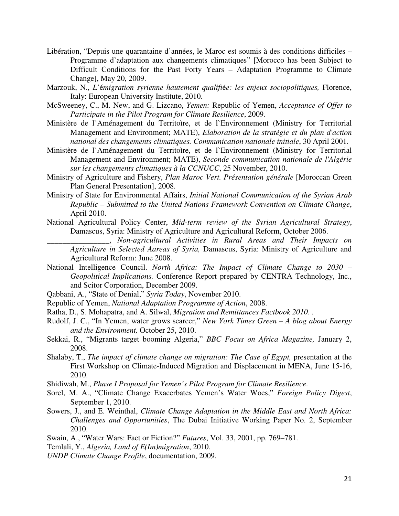- Libération, "Depuis une quarantaine d'années, le Maroc est soumis à des conditions difficiles Programme d'adaptation aux changements climatiques" [Morocco has been Subject to Difficult Conditions for the Past Forty Years – Adaptation Programme to Climate Change], May 20, 2009.
- Marzouk, N., *L*'é*migration syrienne hautement qualifi*é*e: les enjeux sociopolitiques,* Florence, Italy: European University Institute, 2010.
- McSweeney, C., M. New, and G. Lizcano, *Yemen:* Republic of Yemen, *Acceptance of Offer to Participate in the Pilot Program for Climate Resilience*, 2009.
- Ministère de l`Aménagement du Territoìre, et de l`Environnement (Ministry for Territorial Management and Environment; MATE), *Elaboration de la stratégie et du plan d'action national des changements climatiques. Communication nationale initiale*, 30 April 2001.
- Ministère de l`Aménagement du Territoìre, et de l`Environnement (Ministry for Territorial Management and Environment; MATE), *Seconde communication nationale de l'Algérie sur les changements climatiques à la CCNUCC*, 25 November, 2010.
- Ministry of Agriculture and Fishery, *Plan Maroc Vert. Présentation générale* [Moroccan Green Plan General Presentation], 2008.
- Ministry of State for Environmental Affairs, *Initial National Communication of the Syrian Arab Republic – Submitted to the United Nations Framework Convention on Climate Change*, April 2010.
- National Agricultural Policy Center, *Mid-term review of the Syrian Agricultural Strategy*, Damascus, Syria: Ministry of Agriculture and Agricultural Reform, October 2006.

\_\_\_\_\_\_\_\_\_\_\_\_\_\_\_\_, *Non-agricultural Activities in Rural Areas and Their Impacts on Agriculture in Selected Aareas of Syria,* Damascus, Syria: Ministry of Agriculture and Agricultural Reform: June 2008.

- National Intelligence Council. *North Africa: The Impact of Climate Change to 2030 Geopolitical Implications.* Conference Report prepared by CENTRA Technology, Inc., and Scitor Corporation, December 2009.
- Qabbani, A., "State of Denial," *Syria Today*, November 2010.
- Republic of Yemen, *National Adaptation Programme of Action*, 2008.
- Ratha, D., S. Mohapatra, and A. Silwal, *Migration and Remittances Factbook 2010*. .
- Rudolf, J. C., "In Yemen, water grows scarcer," *New York Times Green A blog about Energy and the Environment,* October 25, 2010.
- Sekkai, R., "Migrants target booming Algeria," *BBC Focus on Africa Magazine,* January 2, 2008.
- Shalaby, T., *The impact of climate change on migration: The Case of Egypt,* presentation at the First Workshop on Climate-Induced Migration and Displacement in MENA, June 15-16, 2010.
- Shidiwah, M., *Phase I Proposal for Yemen's Pilot Program for Climate Resilience*.
- Sorel, M. A., "Climate Change Exacerbates Yemen's Water Woes," *Foreign Policy Digest*, September 1, 2010.
- Sowers, J., and E. Weinthal, *Climate Change Adaptation in the Middle East and North Africa: Challenges and Opportunities*, The Dubai Initiative Working Paper No. 2, September 2010.
- Swain, A., "Water Wars: Fact or Fiction?" *Futures*, Vol. 33, 2001, pp. 769–781.

Temlali, Y., *Algeria, Land of E(Im)migration*, 2010.

*UNDP Climate Change Profile*, documentation, 2009.